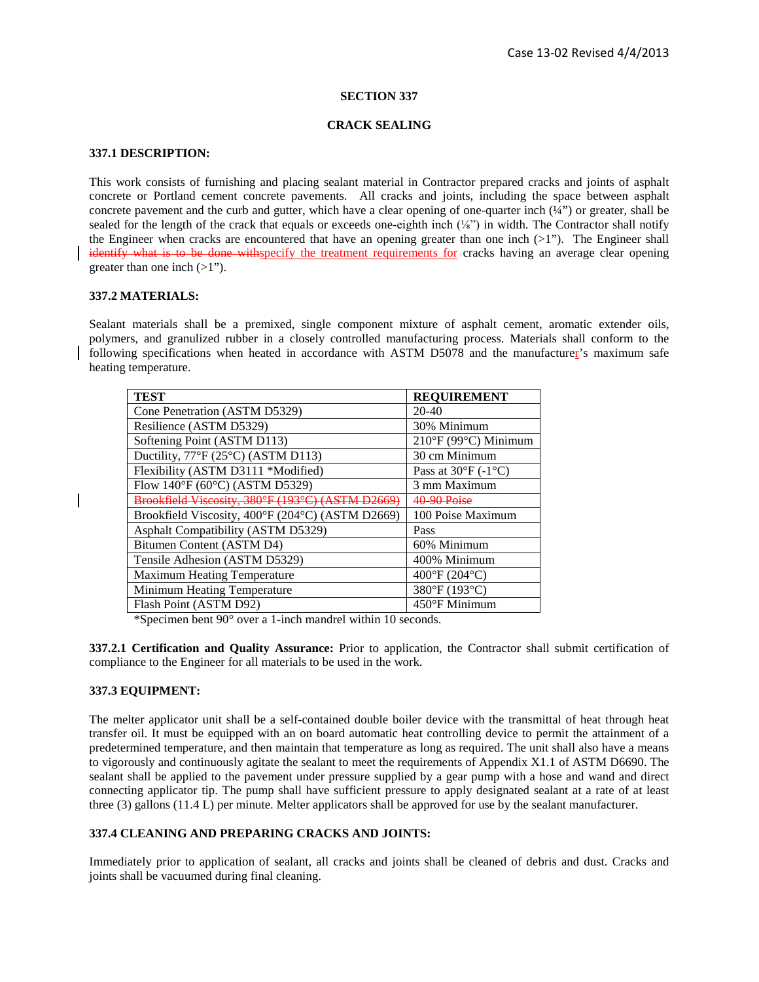### **SECTION 337**

### **CRACK SEALING**

## **337.1 DESCRIPTION:**

This work consists of furnishing and placing sealant material in Contractor prepared cracks and joints of asphalt concrete or Portland cement concrete pavements. All cracks and joints, including the space between asphalt concrete pavement and the curb and gutter, which have a clear opening of one-quarter inch (¼") or greater, shall be sealed for the length of the crack that equals or exceeds one-eighth inch  $(\frac{1}{8})$  in width. The Contractor shall notify the Engineer when cracks are encountered that have an opening greater than one inch  $(>1)$ "). The Engineer shall identify what is to be done with specify the treatment requirements for cracks having an average clear opening greater than one inch  $(>1")$ .

## **337.2 MATERIALS:**

Sealant materials shall be a premixed, single component mixture of asphalt cement, aromatic extender oils, polymers, and granulized rubber in a closely controlled manufacturing process. Materials shall conform to the following specifications when heated in accordance with ASTM D5078 and the manufacturer's maximum safe heating temperature.

| <b>TEST</b>                                       | <b>REQUIREMENT</b>                 |
|---------------------------------------------------|------------------------------------|
| Cone Penetration (ASTM D5329)                     | $20-40$                            |
| Resilience (ASTM D5329)                           | 30% Minimum                        |
| Softening Point (ASTM D113)                       | 210°F (99°C) Minimum               |
| Ductility, $77^{\circ}F(25^{\circ}C)$ (ASTM D113) | 30 cm Minimum                      |
| Flexibility (ASTM D3111 *Modified)                | Pass at $30^{\circ}F(-1^{\circ}C)$ |
| Flow 140°F (60°C) (ASTM D5329)                    | 3 mm Maximum                       |
| Brookfield Viscosity, 380°F (193°C) (ASTM D26     | 40.90 Poise                        |
| Brookfield Viscosity, 400°F (204°C) (ASTM D2669)  | 100 Poise Maximum                  |
| Asphalt Compatibility (ASTM D5329)                | Pass                               |
| Bitumen Content (ASTM D4)                         | 60% Minimum                        |
| Tensile Adhesion (ASTM D5329)                     | 400% Minimum                       |
| <b>Maximum Heating Temperature</b>                | $400^{\circ}$ F (204 $^{\circ}$ C) |
| Minimum Heating Temperature                       | 380°F (193°C)                      |
| Flash Point (ASTM D92)                            | $450^{\circ}$ F Minimum            |

\*Specimen bent 90° over a 1-inch mandrel within 10 seconds.

**337.2.1 Certification and Quality Assurance:** Prior to application, the Contractor shall submit certification of compliance to the Engineer for all materials to be used in the work.

## **337.3 EQUIPMENT:**

The melter applicator unit shall be a self-contained double boiler device with the transmittal of heat through heat transfer oil. It must be equipped with an on board automatic heat controlling device to permit the attainment of a predetermined temperature, and then maintain that temperature as long as required. The unit shall also have a means to vigorously and continuously agitate the sealant to meet the requirements of Appendix X1.1 of ASTM D6690. The sealant shall be applied to the pavement under pressure supplied by a gear pump with a hose and wand and direct connecting applicator tip. The pump shall have sufficient pressure to apply designated sealant at a rate of at least three (3) gallons (11.4 L) per minute. Melter applicators shall be approved for use by the sealant manufacturer.

# **337.4 CLEANING AND PREPARING CRACKS AND JOINTS:**

Immediately prior to application of sealant, all cracks and joints shall be cleaned of debris and dust. Cracks and joints shall be vacuumed during final cleaning.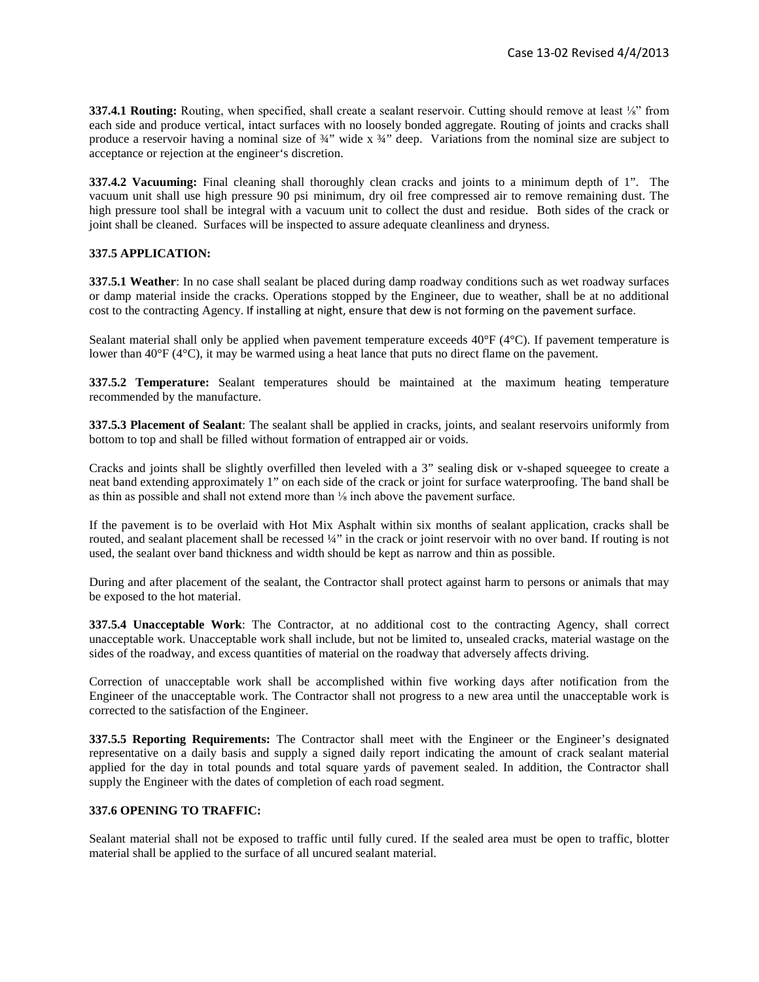**337.4.1 Routing:** Routing, when specified, shall create a sealant reservoir. Cutting should remove at least <sup>1</sup>/<sub>8</sub>" from each side and produce vertical, intact surfaces with no loosely bonded aggregate. Routing of joints and cracks shall produce a reservoir having a nominal size of ¾" wide x ¾" deep. Variations from the nominal size are subject to acceptance or rejection at the engineer's discretion.

**337.4.2 Vacuuming:** Final cleaning shall thoroughly clean cracks and joints to a minimum depth of 1". The vacuum unit shall use high pressure 90 psi minimum, dry oil free compressed air to remove remaining dust. The high pressure tool shall be integral with a vacuum unit to collect the dust and residue. Both sides of the crack or joint shall be cleaned. Surfaces will be inspected to assure adequate cleanliness and dryness.

# **337.5 APPLICATION:**

**337.5.1 Weather**: In no case shall sealant be placed during damp roadway conditions such as wet roadway surfaces or damp material inside the cracks. Operations stopped by the Engineer, due to weather, shall be at no additional cost to the contracting Agency. If installing at night, ensure that dew is not forming on the pavement surface.

Sealant material shall only be applied when pavement temperature exceeds 40°F (4°C). If pavement temperature is lower than 40°F (4°C), it may be warmed using a heat lance that puts no direct flame on the pavement.

**337.5.2 Temperature:** Sealant temperatures should be maintained at the maximum heating temperature recommended by the manufacture.

**337.5.3 Placement of Sealant**: The sealant shall be applied in cracks, joints, and sealant reservoirs uniformly from bottom to top and shall be filled without formation of entrapped air or voids.

Cracks and joints shall be slightly overfilled then leveled with a 3" sealing disk or v-shaped squeegee to create a neat band extending approximately 1" on each side of the crack or joint for surface waterproofing. The band shall be as thin as possible and shall not extend more than ⅛ inch above the pavement surface.

If the pavement is to be overlaid with Hot Mix Asphalt within six months of sealant application, cracks shall be routed, and sealant placement shall be recessed ¼" in the crack or joint reservoir with no over band. If routing is not used, the sealant over band thickness and width should be kept as narrow and thin as possible.

During and after placement of the sealant, the Contractor shall protect against harm to persons or animals that may be exposed to the hot material.

**337.5.4 Unacceptable Work**: The Contractor, at no additional cost to the contracting Agency, shall correct unacceptable work. Unacceptable work shall include, but not be limited to, unsealed cracks, material wastage on the sides of the roadway, and excess quantities of material on the roadway that adversely affects driving.

Correction of unacceptable work shall be accomplished within five working days after notification from the Engineer of the unacceptable work. The Contractor shall not progress to a new area until the unacceptable work is corrected to the satisfaction of the Engineer.

**337.5.5 Reporting Requirements:** The Contractor shall meet with the Engineer or the Engineer's designated representative on a daily basis and supply a signed daily report indicating the amount of crack sealant material applied for the day in total pounds and total square yards of pavement sealed. In addition, the Contractor shall supply the Engineer with the dates of completion of each road segment.

## **337.6 OPENING TO TRAFFIC:**

Sealant material shall not be exposed to traffic until fully cured. If the sealed area must be open to traffic, blotter material shall be applied to the surface of all uncured sealant material.